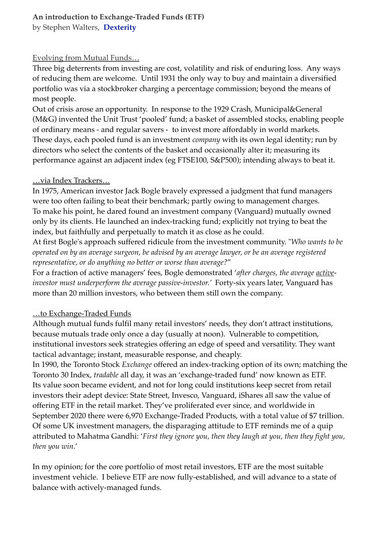# **An introduction to Exchange-Traded Funds (ETF)**

by Stephen Walters, **Dexterity**

### Evolving from Mutual Funds…

Three big deterrents from investing are cost, volatility and risk of enduring loss. Any ways of reducing them are welcome. Until 1931 the only way to buy and maintain a diversified portfolio was via a stockbroker charging a percentage commission; beyond the means of most people.

Out of crisis arose an opportunity. In response to the 1929 Crash, Municipal&General (M&G) invented the Unit Trust 'pooled' fund; a basket of assembled stocks, enabling people of ordinary means - and regular savers - to invest more affordably in world markets. These days, each pooled fund is an investment *company* with its own legal identity; run by directors who select the contents of the basket and occasionally alter it; measuring its performance against an adjacent index (eg FTSE100, S&P500); intending always to beat it.

### …via Index Trackers…

In 1975, American investor Jack Bogle bravely expressed a judgment that fund managers were too often failing to beat their benchmark; partly owing to management charges. To make his point, he dared found an investment company (Vanguard) mutually owned only by its clients. He launched an index-tracking fund; explicitly not trying to beat the index, but faithfully and perpetually to match it as close as he could.

At first Bogle's approach suffered ridicule from the investment community. "*Who wants to be operated on by an average surgeon, be advised by an average lawyer, or be an average registered representative, or do anything no better or worse than average?*"

For a fraction of active managers' fees, Bogle demonstrated '*after charges, the average activeinvestor must underperform the average passive-investor.'* Forty-six years later, Vanguard has more than 20 million investors, who between them still own the company.

### …to Exchange-Traded Funds

Although mutual funds fulfil many retail investors' needs, they don't attract institutions, because mutuals trade only once a day (usually at noon). Vulnerable to competition, institutional investors seek strategies offering an edge of speed and versatility. They want tactical advantage; instant, measurable response, and cheaply.

In 1990, the Toronto Stock *Exchange* offered an index-tracking option of its own; matching the Toronto 30 Index, *tradable* all day, it was an 'exchange-traded fund' now known as ETF. Its value soon became evident, and not for long could institutions keep secret from retail investors their adept device: State Street, Invesco, Vanguard, iShares all saw the value of offering ETF in the retail market. They've proliferated ever since, and worldwide in September 2020 there were 6,970 Exchange-Traded Products, with a total value of \$7 trillion. Of some UK investment managers, the disparaging attitude to ETF reminds me of a quip attributed to Mahatma Gandhi: '*First they ignore you, then they laugh at you, then they fight you, then you win*.'

In my opinion; for the core portfolio of most retail investors, ETF are the most suitable investment vehicle. I believe ETF are now fully-established, and will advance to a state of balance with actively-managed funds.